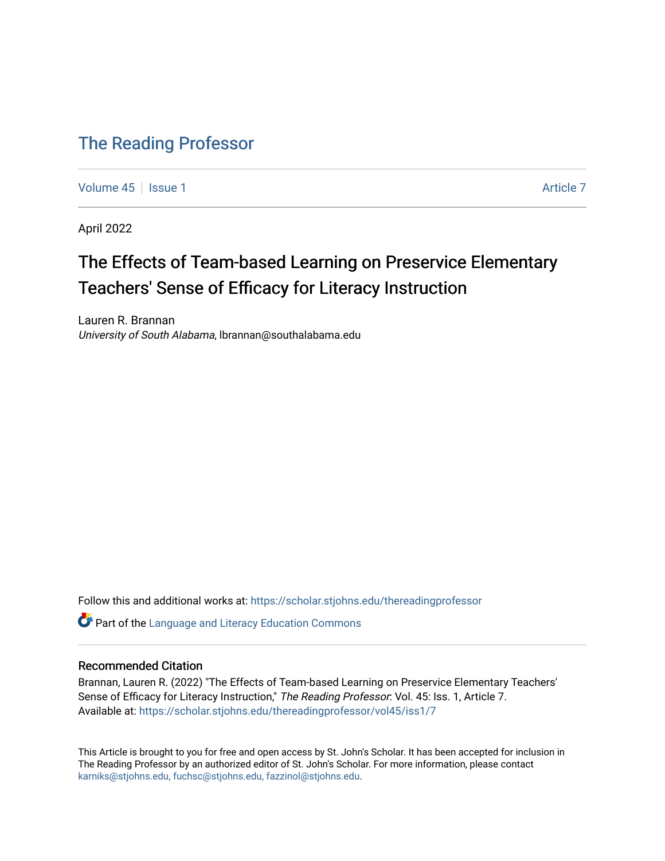# [The Reading Professor](https://scholar.stjohns.edu/thereadingprofessor)

[Volume 45](https://scholar.stjohns.edu/thereadingprofessor/vol45) | [Issue 1](https://scholar.stjohns.edu/thereadingprofessor/vol45/iss1) [Article 7](https://scholar.stjohns.edu/thereadingprofessor/vol45/iss1/7) Article 7 Article 7 Article 7 Article 7 Article 7 Article 7

April 2022

# The Effects of Team-based Learning on Preservice Elementary Teachers' Sense of Efficacy for Literacy Instruction

Lauren R. Brannan University of South Alabama, lbrannan@southalabama.edu

Follow this and additional works at: [https://scholar.stjohns.edu/thereadingprofessor](https://scholar.stjohns.edu/thereadingprofessor?utm_source=scholar.stjohns.edu%2Fthereadingprofessor%2Fvol45%2Fiss1%2F7&utm_medium=PDF&utm_campaign=PDFCoverPages) 

**C** Part of the Language and Literacy Education Commons

# Recommended Citation

Brannan, Lauren R. (2022) "The Effects of Team-based Learning on Preservice Elementary Teachers' Sense of Efficacy for Literacy Instruction," The Reading Professor: Vol. 45: Iss. 1, Article 7. Available at: [https://scholar.stjohns.edu/thereadingprofessor/vol45/iss1/7](https://scholar.stjohns.edu/thereadingprofessor/vol45/iss1/7?utm_source=scholar.stjohns.edu%2Fthereadingprofessor%2Fvol45%2Fiss1%2F7&utm_medium=PDF&utm_campaign=PDFCoverPages) 

This Article is brought to you for free and open access by St. John's Scholar. It has been accepted for inclusion in The Reading Professor by an authorized editor of St. John's Scholar. For more information, please contact [karniks@stjohns.edu, fuchsc@stjohns.edu, fazzinol@stjohns.edu](mailto:karniks@stjohns.edu,%20fuchsc@stjohns.edu,%20fazzinol@stjohns.edu).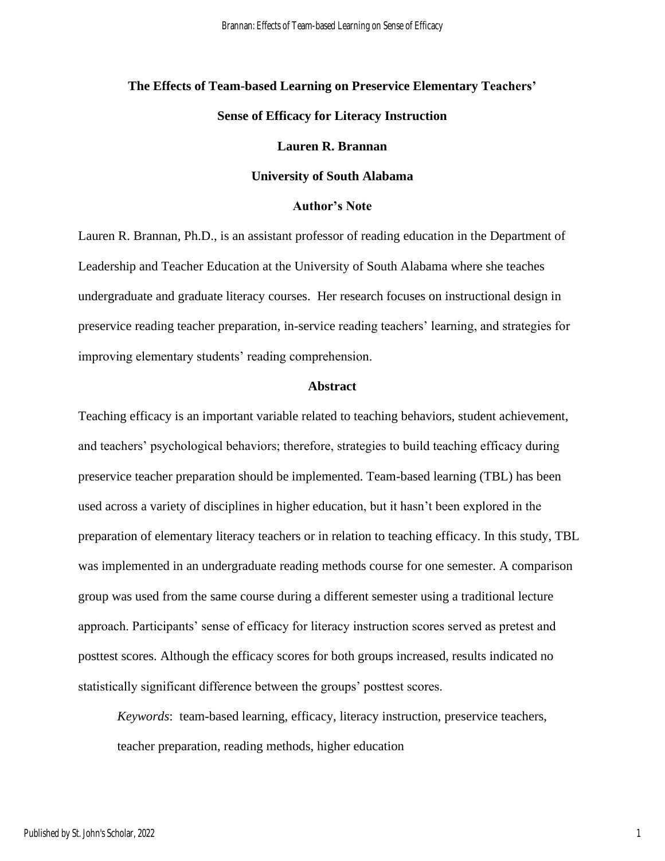# **The Effects of Team-based Learning on Preservice Elementary Teachers' Sense of Efficacy for Literacy Instruction**

#### **Lauren R. Brannan**

#### **University of South Alabama**

#### **Author's Note**

Lauren R. Brannan, Ph.D., is an assistant professor of reading education in the Department of Leadership and Teacher Education at the University of South Alabama where she teaches undergraduate and graduate literacy courses. Her research focuses on instructional design in preservice reading teacher preparation, in-service reading teachers' learning, and strategies for improving elementary students' reading comprehension.

#### **Abstract**

Teaching efficacy is an important variable related to teaching behaviors, student achievement, and teachers' psychological behaviors; therefore, strategies to build teaching efficacy during preservice teacher preparation should be implemented. Team-based learning (TBL) has been used across a variety of disciplines in higher education, but it hasn't been explored in the preparation of elementary literacy teachers or in relation to teaching efficacy. In this study, TBL was implemented in an undergraduate reading methods course for one semester. A comparison group was used from the same course during a different semester using a traditional lecture approach. Participants' sense of efficacy for literacy instruction scores served as pretest and posttest scores. Although the efficacy scores for both groups increased, results indicated no statistically significant difference between the groups' posttest scores.

*Keywords*: team-based learning, efficacy, literacy instruction, preservice teachers, teacher preparation, reading methods, higher education

1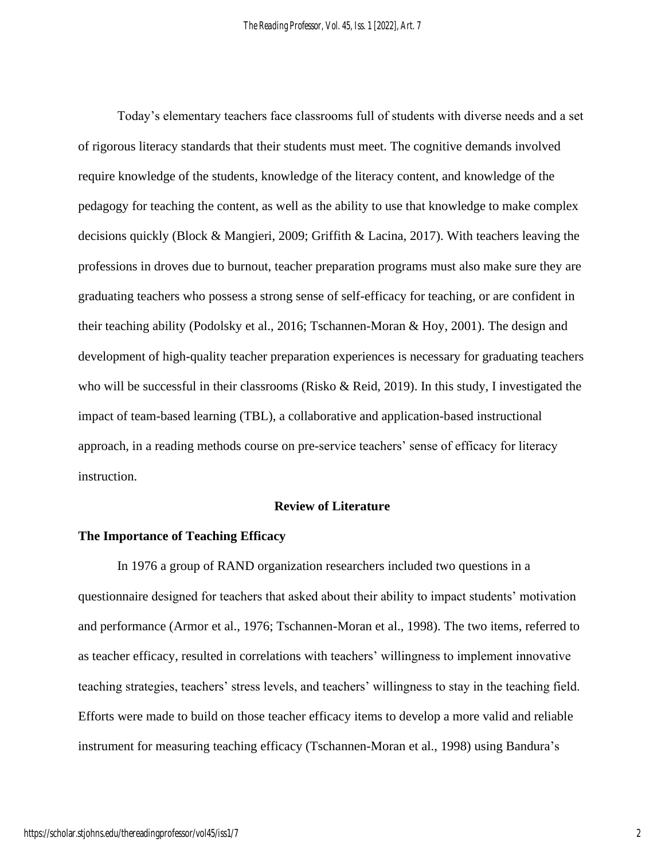Today's elementary teachers face classrooms full of students with diverse needs and a set of rigorous literacy standards that their students must meet. The cognitive demands involved require knowledge of the students, knowledge of the literacy content, and knowledge of the pedagogy for teaching the content, as well as the ability to use that knowledge to make complex decisions quickly (Block & Mangieri, 2009; Griffith & Lacina, 2017). With teachers leaving the professions in droves due to burnout, teacher preparation programs must also make sure they are graduating teachers who possess a strong sense of self-efficacy for teaching, or are confident in their teaching ability (Podolsky et al., 2016; Tschannen-Moran & Hoy, 2001). The design and development of high-quality teacher preparation experiences is necessary for graduating teachers who will be successful in their classrooms (Risko & Reid, 2019). In this study, I investigated the impact of team-based learning (TBL), a collaborative and application-based instructional approach, in a reading methods course on pre-service teachers' sense of efficacy for literacy instruction.

#### **Review of Literature**

#### **The Importance of Teaching Efficacy**

In 1976 a group of RAND organization researchers included two questions in a questionnaire designed for teachers that asked about their ability to impact students' motivation and performance (Armor et al., 1976; Tschannen-Moran et al., 1998). The two items, referred to as teacher efficacy, resulted in correlations with teachers' willingness to implement innovative teaching strategies, teachers' stress levels, and teachers' willingness to stay in the teaching field. Efforts were made to build on those teacher efficacy items to develop a more valid and reliable instrument for measuring teaching efficacy (Tschannen-Moran et al., 1998) using Bandura's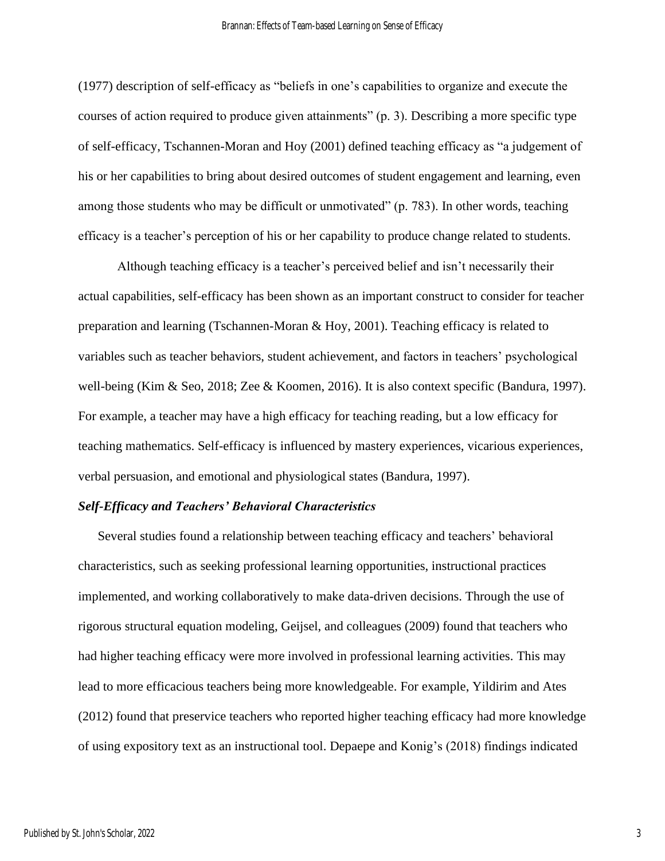(1977) description of self-efficacy as "beliefs in one's capabilities to organize and execute the courses of action required to produce given attainments" (p. 3). Describing a more specific type of self-efficacy, Tschannen-Moran and Hoy (2001) defined teaching efficacy as "a judgement of his or her capabilities to bring about desired outcomes of student engagement and learning, even among those students who may be difficult or unmotivated" (p. 783). In other words, teaching efficacy is a teacher's perception of his or her capability to produce change related to students.

Although teaching efficacy is a teacher's perceived belief and isn't necessarily their actual capabilities, self-efficacy has been shown as an important construct to consider for teacher preparation and learning (Tschannen-Moran & Hoy, 2001). Teaching efficacy is related to variables such as teacher behaviors, student achievement, and factors in teachers' psychological well-being (Kim & Seo, 2018; Zee & Koomen, 2016). It is also context specific (Bandura, 1997). For example, a teacher may have a high efficacy for teaching reading, but a low efficacy for teaching mathematics. Self-efficacy is influenced by mastery experiences, vicarious experiences, verbal persuasion, and emotional and physiological states (Bandura, 1997).

#### *Self-Efficacy and Teachers' Behavioral Characteristics*

Several studies found a relationship between teaching efficacy and teachers' behavioral characteristics, such as seeking professional learning opportunities, instructional practices implemented, and working collaboratively to make data-driven decisions. Through the use of rigorous structural equation modeling, Geijsel, and colleagues (2009) found that teachers who had higher teaching efficacy were more involved in professional learning activities. This may lead to more efficacious teachers being more knowledgeable. For example, Yildirim and Ates (2012) found that preservice teachers who reported higher teaching efficacy had more knowledge of using expository text as an instructional tool. Depaepe and Konig's (2018) findings indicated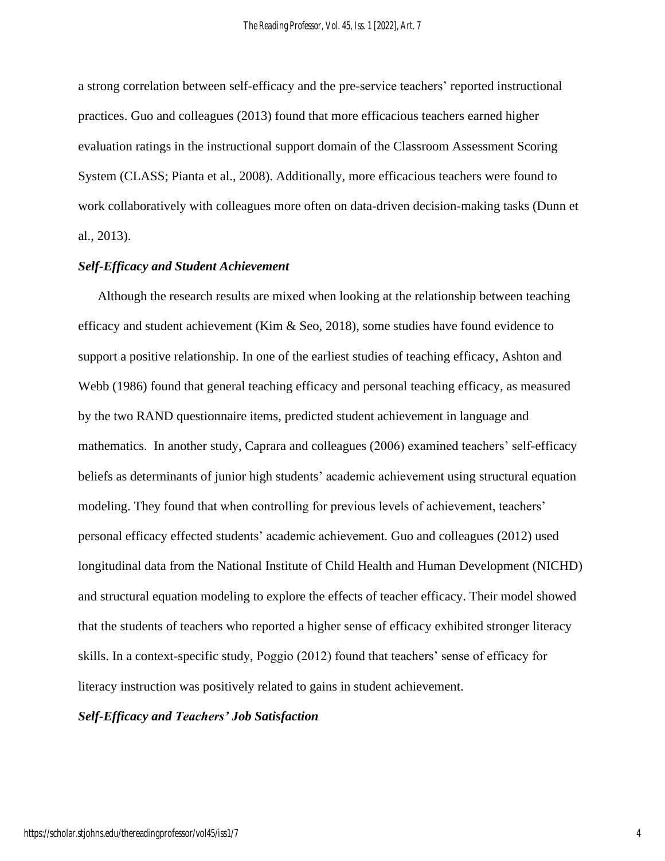a strong correlation between self-efficacy and the pre-service teachers' reported instructional practices. Guo and colleagues (2013) found that more efficacious teachers earned higher evaluation ratings in the instructional support domain of the Classroom Assessment Scoring System (CLASS; Pianta et al., 2008). Additionally, more efficacious teachers were found to work collaboratively with colleagues more often on data-driven decision-making tasks (Dunn et al., 2013).

# *Self-Efficacy and Student Achievement*

Although the research results are mixed when looking at the relationship between teaching efficacy and student achievement (Kim  $\&$  Seo, 2018), some studies have found evidence to support a positive relationship. In one of the earliest studies of teaching efficacy, Ashton and Webb (1986) found that general teaching efficacy and personal teaching efficacy, as measured by the two RAND questionnaire items, predicted student achievement in language and mathematics. In another study, Caprara and colleagues (2006) examined teachers' self-efficacy beliefs as determinants of junior high students' academic achievement using structural equation modeling. They found that when controlling for previous levels of achievement, teachers' personal efficacy effected students' academic achievement. Guo and colleagues (2012) used longitudinal data from the National Institute of Child Health and Human Development (NICHD) and structural equation modeling to explore the effects of teacher efficacy. Their model showed that the students of teachers who reported a higher sense of efficacy exhibited stronger literacy skills. In a context-specific study, Poggio (2012) found that teachers' sense of efficacy for literacy instruction was positively related to gains in student achievement.

*Self-Efficacy and Teachers' Job Satisfaction*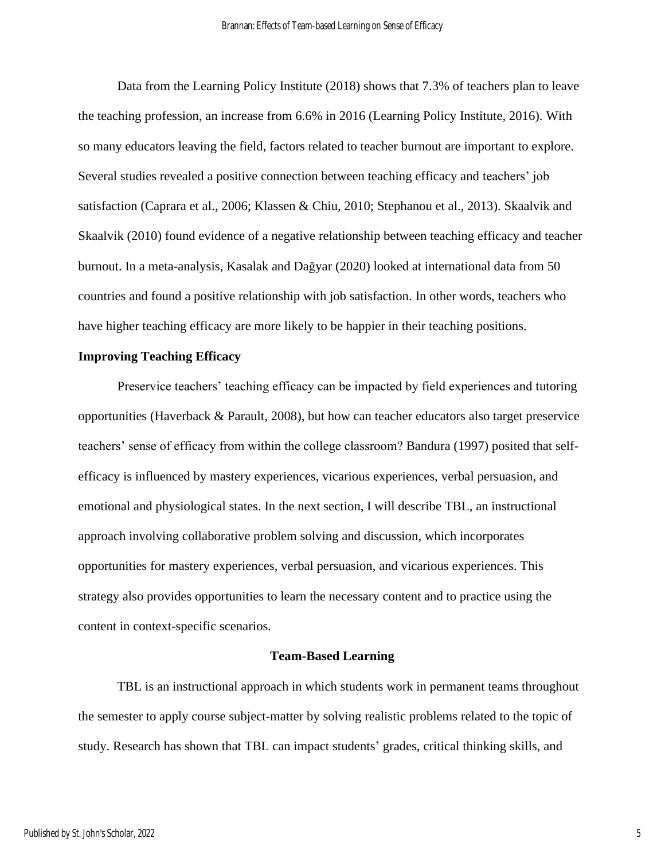Data from the Learning Policy Institute (2018) shows that 7.3% of teachers plan to leave the teaching profession, an increase from 6.6% in 2016 (Learning Policy Institute, 2016). With so many educators leaving the field, factors related to teacher burnout are important to explore. Several studies revealed a positive connection between teaching efficacy and teachers' job satisfaction (Caprara et al., 2006; Klassen & Chiu, 2010; Stephanou et al., 2013). Skaalvik and Skaalvik (2010) found evidence of a negative relationship between teaching efficacy and teacher burnout. In a meta-analysis, Kasalak and Dağyar (2020) looked at international data from 50 countries and found a positive relationship with job satisfaction. In other words, teachers who have higher teaching efficacy are more likely to be happier in their teaching positions.

#### **Improving Teaching Efficacy**

Preservice teachers' teaching efficacy can be impacted by field experiences and tutoring opportunities (Haverback & Parault, 2008), but how can teacher educators also target preservice teachers' sense of efficacy from within the college classroom? Bandura (1997) posited that selfefficacy is influenced by mastery experiences, vicarious experiences, verbal persuasion, and emotional and physiological states. In the next section, I will describe TBL, an instructional approach involving collaborative problem solving and discussion, which incorporates opportunities for mastery experiences, verbal persuasion, and vicarious experiences. This strategy also provides opportunities to learn the necessary content and to practice using the content in context-specific scenarios.

#### **Team-Based Learning**

TBL is an instructional approach in which students work in permanent teams throughout the semester to apply course subject-matter by solving realistic problems related to the topic of study. Research has shown that TBL can impact students' grades, critical thinking skills, and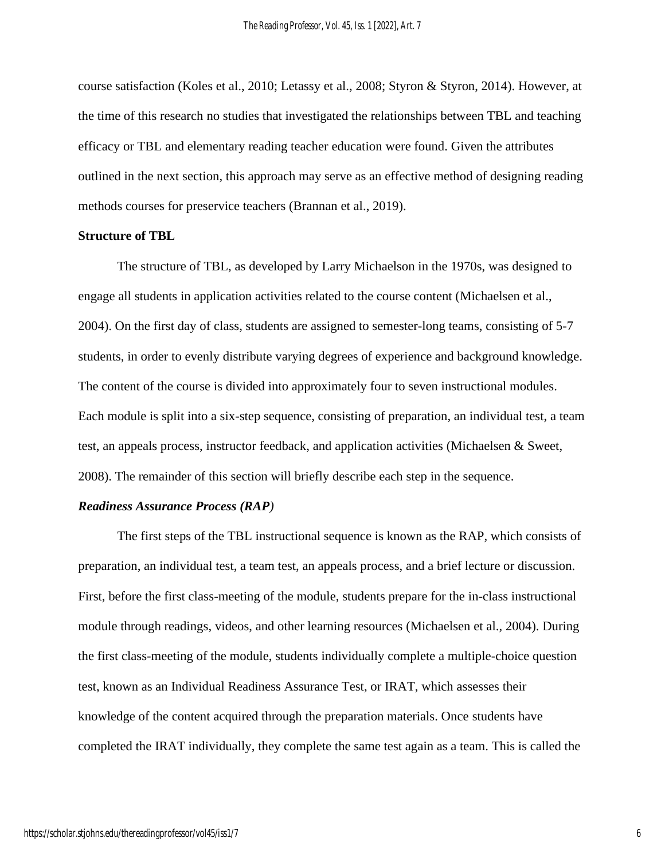course satisfaction (Koles et al., 2010; Letassy et al., 2008; Styron & Styron, 2014). However, at the time of this research no studies that investigated the relationships between TBL and teaching efficacy or TBL and elementary reading teacher education were found. Given the attributes outlined in the next section, this approach may serve as an effective method of designing reading methods courses for preservice teachers (Brannan et al., 2019).

#### **Structure of TBL**

The structure of TBL, as developed by Larry Michaelson in the 1970s, was designed to engage all students in application activities related to the course content (Michaelsen et al., 2004). On the first day of class, students are assigned to semester-long teams, consisting of 5-7 students, in order to evenly distribute varying degrees of experience and background knowledge. The content of the course is divided into approximately four to seven instructional modules. Each module is split into a six-step sequence, consisting of preparation, an individual test, a team test, an appeals process, instructor feedback, and application activities (Michaelsen & Sweet, 2008). The remainder of this section will briefly describe each step in the sequence.

#### *Readiness Assurance Process (RAP)*

The first steps of the TBL instructional sequence is known as the RAP, which consists of preparation, an individual test, a team test, an appeals process, and a brief lecture or discussion. First, before the first class-meeting of the module, students prepare for the in-class instructional module through readings, videos, and other learning resources (Michaelsen et al., 2004). During the first class-meeting of the module, students individually complete a multiple-choice question test, known as an Individual Readiness Assurance Test, or IRAT, which assesses their knowledge of the content acquired through the preparation materials. Once students have completed the IRAT individually, they complete the same test again as a team. This is called the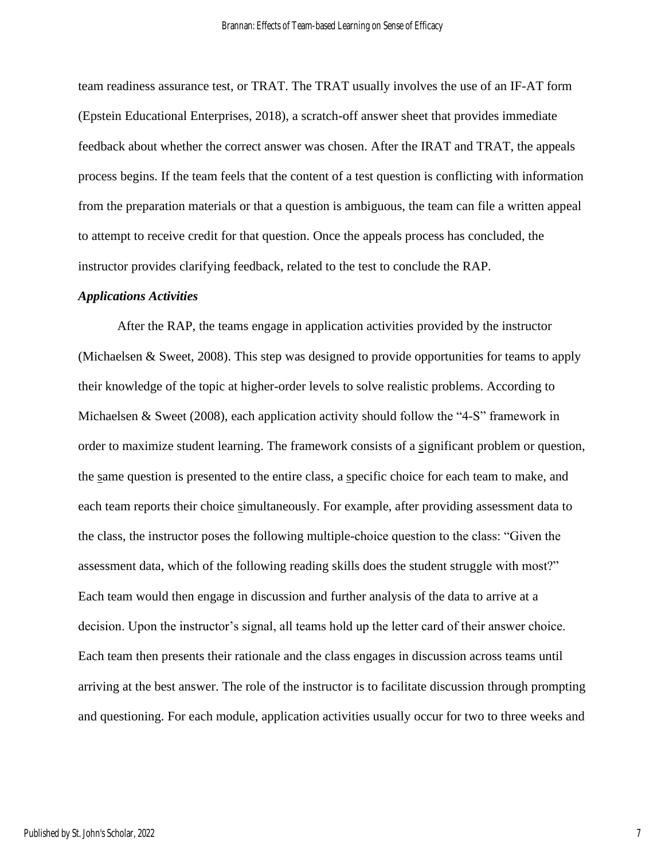team readiness assurance test, or TRAT. The TRAT usually involves the use of an IF-AT form (Epstein Educational Enterprises, 2018), a scratch-off answer sheet that provides immediate feedback about whether the correct answer was chosen. After the IRAT and TRAT, the appeals process begins. If the team feels that the content of a test question is conflicting with information from the preparation materials or that a question is ambiguous, the team can file a written appeal to attempt to receive credit for that question. Once the appeals process has concluded, the instructor provides clarifying feedback, related to the test to conclude the RAP.

#### *Applications Activities*

After the RAP, the teams engage in application activities provided by the instructor (Michaelsen & Sweet, 2008). This step was designed to provide opportunities for teams to apply their knowledge of the topic at higher-order levels to solve realistic problems. According to Michaelsen & Sweet (2008), each application activity should follow the "4-S" framework in order to maximize student learning. The framework consists of a significant problem or question, the same question is presented to the entire class, a specific choice for each team to make, and each team reports their choice simultaneously. For example, after providing assessment data to the class, the instructor poses the following multiple-choice question to the class: "Given the assessment data, which of the following reading skills does the student struggle with most?" Each team would then engage in discussion and further analysis of the data to arrive at a decision. Upon the instructor's signal, all teams hold up the letter card of their answer choice. Each team then presents their rationale and the class engages in discussion across teams until arriving at the best answer. The role of the instructor is to facilitate discussion through prompting and questioning. For each module, application activities usually occur for two to three weeks and

7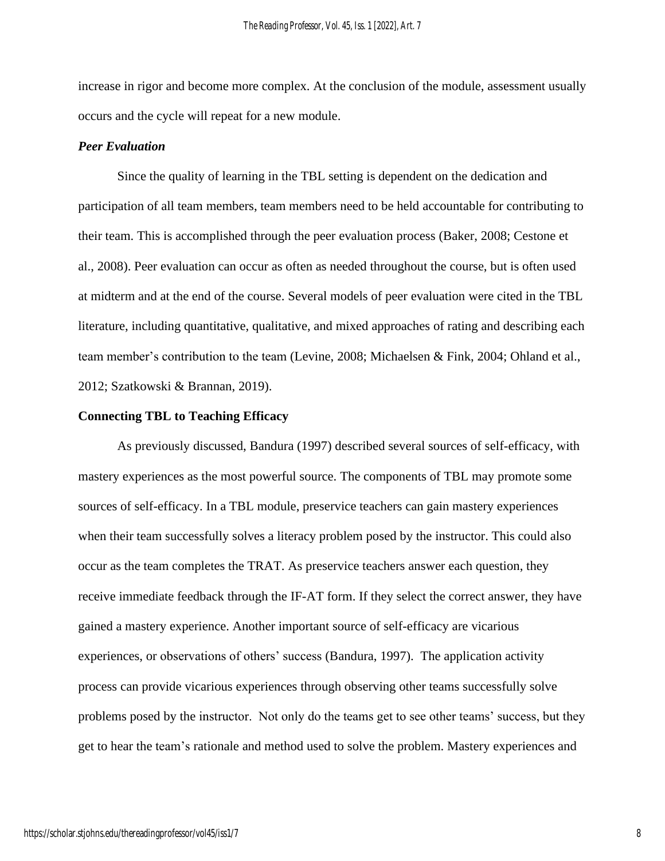increase in rigor and become more complex. At the conclusion of the module, assessment usually occurs and the cycle will repeat for a new module.

#### *Peer Evaluation*

Since the quality of learning in the TBL setting is dependent on the dedication and participation of all team members, team members need to be held accountable for contributing to their team. This is accomplished through the peer evaluation process (Baker, 2008; Cestone et al., 2008). Peer evaluation can occur as often as needed throughout the course, but is often used at midterm and at the end of the course. Several models of peer evaluation were cited in the TBL literature, including quantitative, qualitative, and mixed approaches of rating and describing each team member's contribution to the team (Levine, 2008; Michaelsen & Fink, 2004; Ohland et al., 2012; Szatkowski & Brannan, 2019).

#### **Connecting TBL to Teaching Efficacy**

As previously discussed, Bandura (1997) described several sources of self-efficacy, with mastery experiences as the most powerful source. The components of TBL may promote some sources of self-efficacy. In a TBL module, preservice teachers can gain mastery experiences when their team successfully solves a literacy problem posed by the instructor. This could also occur as the team completes the TRAT. As preservice teachers answer each question, they receive immediate feedback through the IF-AT form. If they select the correct answer, they have gained a mastery experience. Another important source of self-efficacy are vicarious experiences, or observations of others' success (Bandura, 1997). The application activity process can provide vicarious experiences through observing other teams successfully solve problems posed by the instructor. Not only do the teams get to see other teams' success, but they get to hear the team's rationale and method used to solve the problem. Mastery experiences and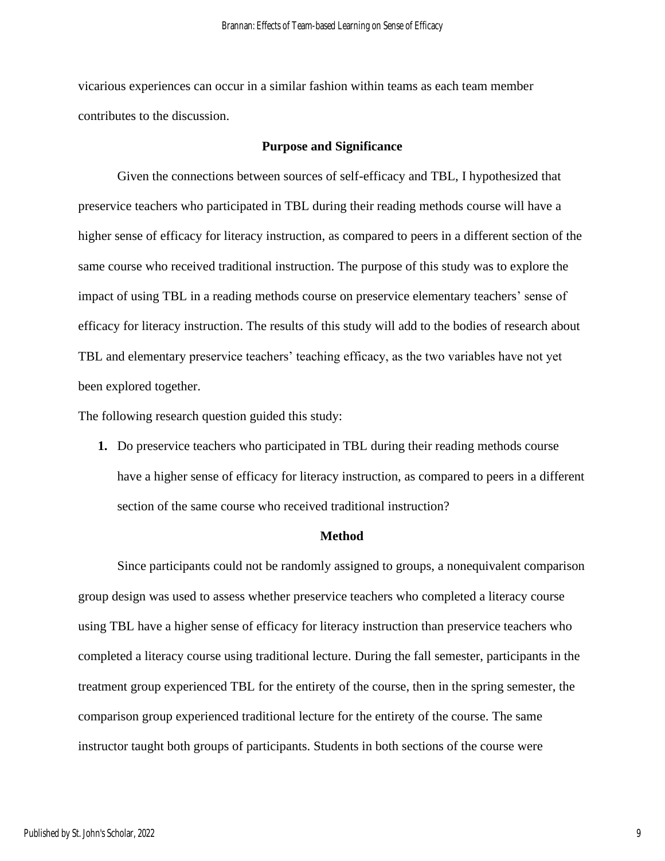vicarious experiences can occur in a similar fashion within teams as each team member contributes to the discussion.

#### **Purpose and Significance**

Given the connections between sources of self-efficacy and TBL, I hypothesized that preservice teachers who participated in TBL during their reading methods course will have a higher sense of efficacy for literacy instruction, as compared to peers in a different section of the same course who received traditional instruction. The purpose of this study was to explore the impact of using TBL in a reading methods course on preservice elementary teachers' sense of efficacy for literacy instruction. The results of this study will add to the bodies of research about TBL and elementary preservice teachers' teaching efficacy, as the two variables have not yet been explored together.

The following research question guided this study:

**1.** Do preservice teachers who participated in TBL during their reading methods course have a higher sense of efficacy for literacy instruction, as compared to peers in a different section of the same course who received traditional instruction?

#### **Method**

Since participants could not be randomly assigned to groups, a nonequivalent comparison group design was used to assess whether preservice teachers who completed a literacy course using TBL have a higher sense of efficacy for literacy instruction than preservice teachers who completed a literacy course using traditional lecture. During the fall semester, participants in the treatment group experienced TBL for the entirety of the course, then in the spring semester, the comparison group experienced traditional lecture for the entirety of the course. The same instructor taught both groups of participants. Students in both sections of the course were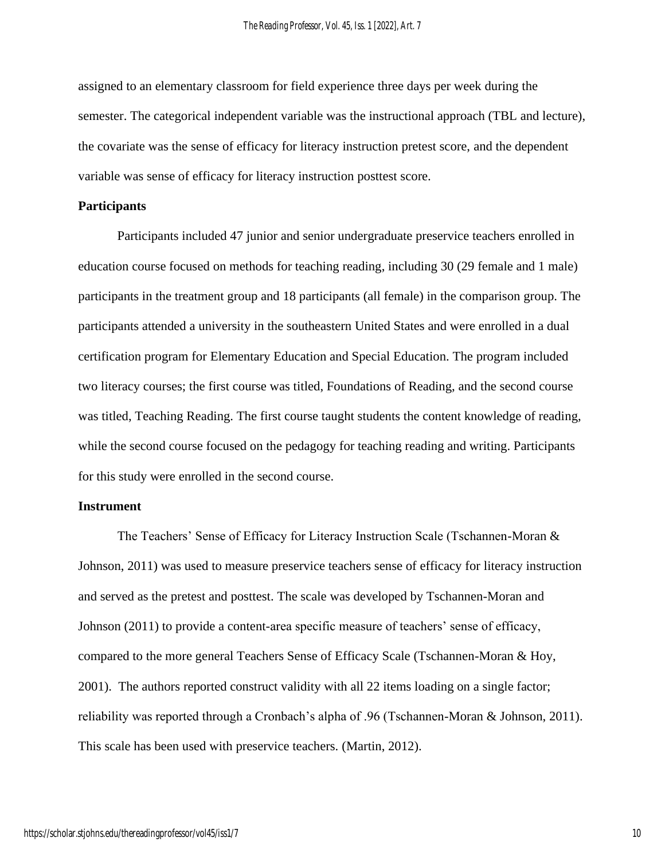assigned to an elementary classroom for field experience three days per week during the semester. The categorical independent variable was the instructional approach (TBL and lecture), the covariate was the sense of efficacy for literacy instruction pretest score, and the dependent variable was sense of efficacy for literacy instruction posttest score.

#### **Participants**

Participants included 47 junior and senior undergraduate preservice teachers enrolled in education course focused on methods for teaching reading, including 30 (29 female and 1 male) participants in the treatment group and 18 participants (all female) in the comparison group. The participants attended a university in the southeastern United States and were enrolled in a dual certification program for Elementary Education and Special Education. The program included two literacy courses; the first course was titled, Foundations of Reading, and the second course was titled, Teaching Reading. The first course taught students the content knowledge of reading, while the second course focused on the pedagogy for teaching reading and writing. Participants for this study were enrolled in the second course.

#### **Instrument**

The Teachers' Sense of Efficacy for Literacy Instruction Scale (Tschannen-Moran & Johnson, 2011) was used to measure preservice teachers sense of efficacy for literacy instruction and served as the pretest and posttest. The scale was developed by Tschannen-Moran and Johnson (2011) to provide a content-area specific measure of teachers' sense of efficacy, compared to the more general Teachers Sense of Efficacy Scale (Tschannen-Moran & Hoy, 2001). The authors reported construct validity with all 22 items loading on a single factor; reliability was reported through a Cronbach's alpha of .96 (Tschannen-Moran & Johnson, 2011). This scale has been used with preservice teachers. (Martin, 2012).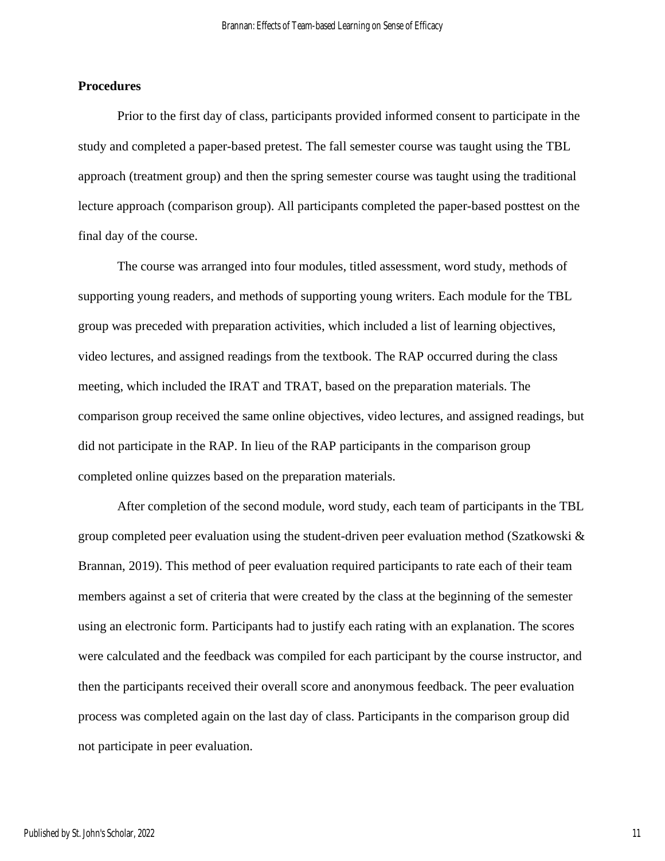# **Procedures**

Prior to the first day of class, participants provided informed consent to participate in the study and completed a paper-based pretest. The fall semester course was taught using the TBL approach (treatment group) and then the spring semester course was taught using the traditional lecture approach (comparison group). All participants completed the paper-based posttest on the final day of the course.

The course was arranged into four modules, titled assessment, word study, methods of supporting young readers, and methods of supporting young writers. Each module for the TBL group was preceded with preparation activities, which included a list of learning objectives, video lectures, and assigned readings from the textbook. The RAP occurred during the class meeting, which included the IRAT and TRAT, based on the preparation materials. The comparison group received the same online objectives, video lectures, and assigned readings, but did not participate in the RAP. In lieu of the RAP participants in the comparison group completed online quizzes based on the preparation materials.

After completion of the second module, word study, each team of participants in the TBL group completed peer evaluation using the student-driven peer evaluation method (Szatkowski  $\&$ Brannan, 2019). This method of peer evaluation required participants to rate each of their team members against a set of criteria that were created by the class at the beginning of the semester using an electronic form. Participants had to justify each rating with an explanation. The scores were calculated and the feedback was compiled for each participant by the course instructor, and then the participants received their overall score and anonymous feedback. The peer evaluation process was completed again on the last day of class. Participants in the comparison group did not participate in peer evaluation.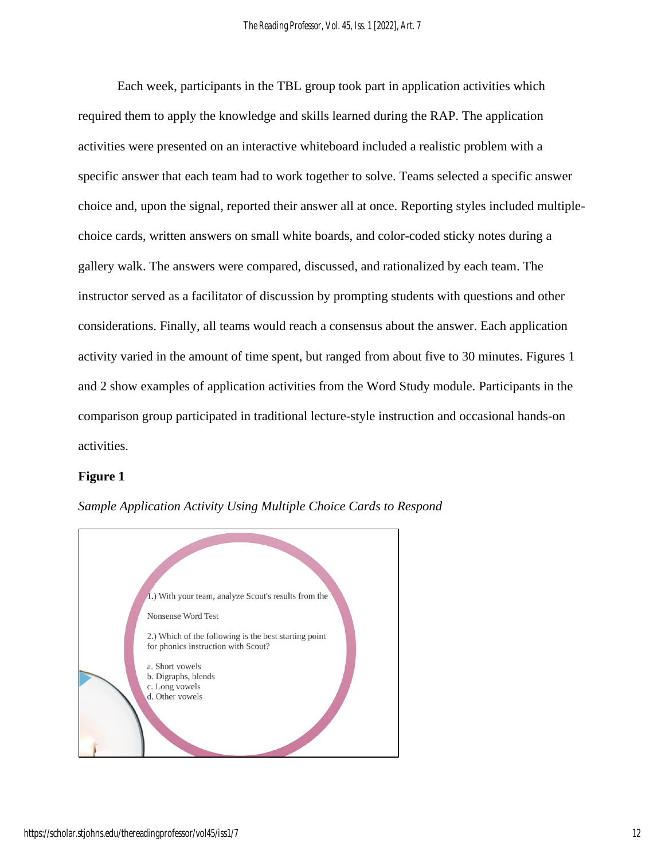Each week, participants in the TBL group took part in application activities which required them to apply the knowledge and skills learned during the RAP. The application activities were presented on an interactive whiteboard included a realistic problem with a specific answer that each team had to work together to solve. Teams selected a specific answer choice and, upon the signal, reported their answer all at once. Reporting styles included multiplechoice cards, written answers on small white boards, and color-coded sticky notes during a gallery walk. The answers were compared, discussed, and rationalized by each team. The instructor served as a facilitator of discussion by prompting students with questions and other considerations. Finally, all teams would reach a consensus about the answer. Each application activity varied in the amount of time spent, but ranged from about five to 30 minutes. Figures 1 and 2 show examples of application activities from the Word Study module. Participants in the comparison group participated in traditional lecture-style instruction and occasional hands-on activities.

# **Figure 1**



*Sample Application Activity Using Multiple Choice Cards to Respond*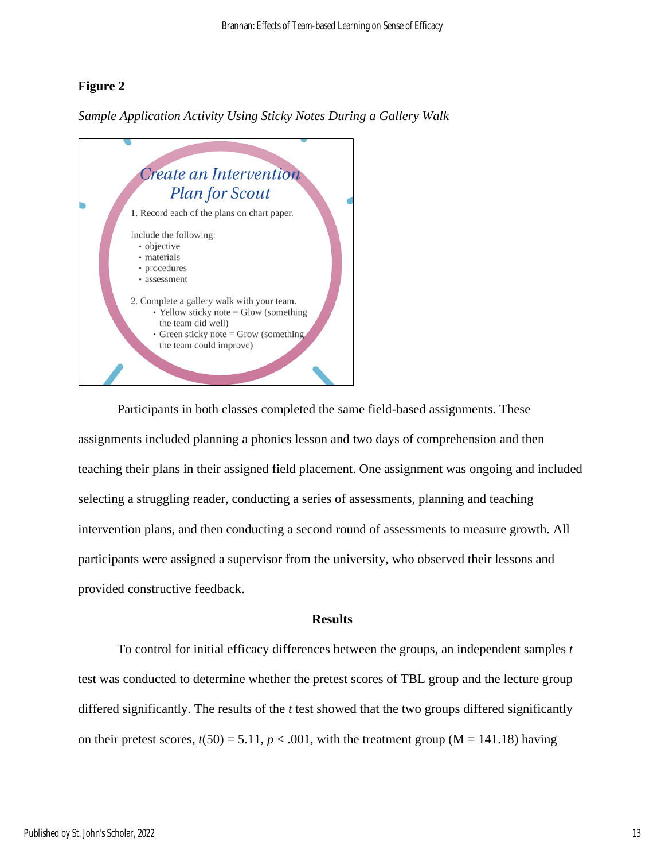# **Figure 2**

*Sample Application Activity Using Sticky Notes During a Gallery Walk*



Participants in both classes completed the same field-based assignments. These assignments included planning a phonics lesson and two days of comprehension and then teaching their plans in their assigned field placement. One assignment was ongoing and included selecting a struggling reader, conducting a series of assessments, planning and teaching intervention plans, and then conducting a second round of assessments to measure growth. All participants were assigned a supervisor from the university, who observed their lessons and provided constructive feedback.

## **Results**

To control for initial efficacy differences between the groups, an independent samples *t* test was conducted to determine whether the pretest scores of TBL group and the lecture group differed significantly. The results of the *t* test showed that the two groups differed significantly on their pretest scores,  $t(50) = 5.11$ ,  $p < .001$ , with the treatment group (M = 141.18) having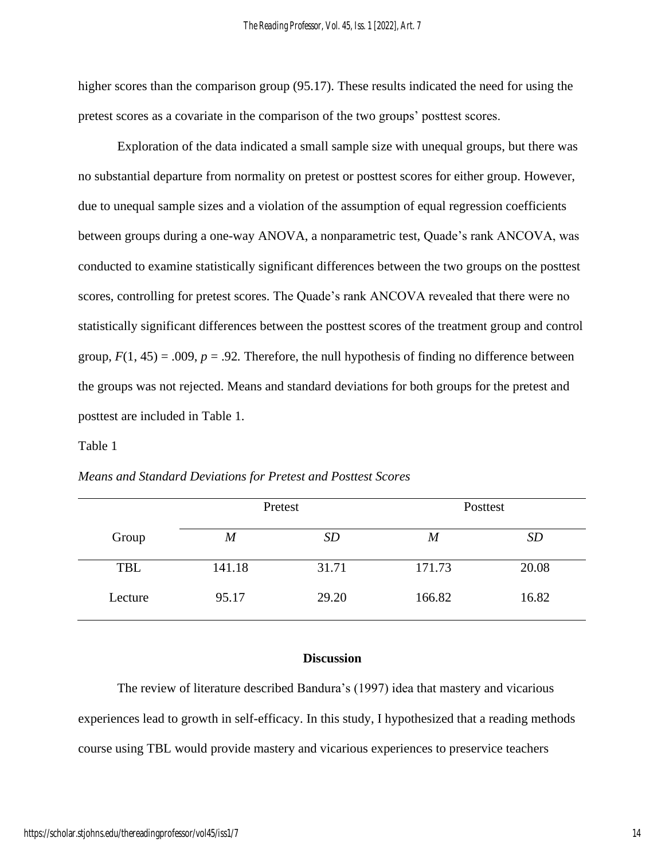higher scores than the comparison group (95.17). These results indicated the need for using the pretest scores as a covariate in the comparison of the two groups' posttest scores.

Exploration of the data indicated a small sample size with unequal groups, but there was no substantial departure from normality on pretest or posttest scores for either group. However, due to unequal sample sizes and a violation of the assumption of equal regression coefficients between groups during a one-way ANOVA, a nonparametric test, Quade's rank ANCOVA, was conducted to examine statistically significant differences between the two groups on the posttest scores, controlling for pretest scores. The Quade's rank ANCOVA revealed that there were no statistically significant differences between the posttest scores of the treatment group and control group,  $F(1, 45) = .009$ ,  $p = .92$ . Therefore, the null hypothesis of finding no difference between the groups was not rejected. Means and standard deviations for both groups for the pretest and posttest are included in Table 1.

#### Table 1

|         | Pretest          |           | Posttest         |       |
|---------|------------------|-----------|------------------|-------|
| Group   | $\boldsymbol{M}$ | <i>SD</i> | $\boldsymbol{M}$ | SD    |
| TBL     | 141.18           | 31.71     | 171.73           | 20.08 |
| Lecture | 95.17            | 29.20     | 166.82           | 16.82 |

# **Discussion**

The review of literature described Bandura's (1997) idea that mastery and vicarious experiences lead to growth in self-efficacy. In this study, I hypothesized that a reading methods course using TBL would provide mastery and vicarious experiences to preservice teachers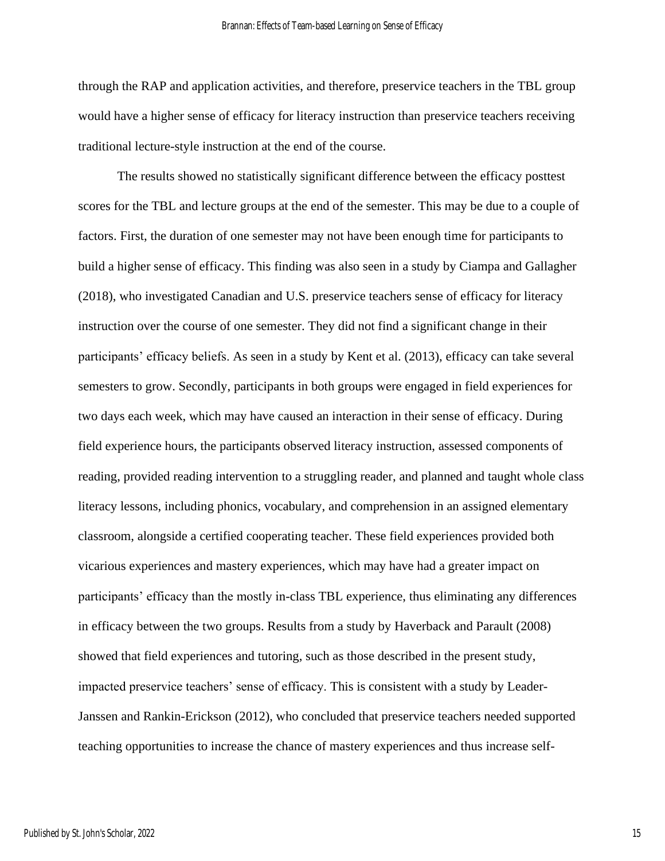through the RAP and application activities, and therefore, preservice teachers in the TBL group would have a higher sense of efficacy for literacy instruction than preservice teachers receiving traditional lecture-style instruction at the end of the course.

The results showed no statistically significant difference between the efficacy posttest scores for the TBL and lecture groups at the end of the semester. This may be due to a couple of factors. First, the duration of one semester may not have been enough time for participants to build a higher sense of efficacy. This finding was also seen in a study by Ciampa and Gallagher (2018), who investigated Canadian and U.S. preservice teachers sense of efficacy for literacy instruction over the course of one semester. They did not find a significant change in their participants' efficacy beliefs. As seen in a study by Kent et al. (2013), efficacy can take several semesters to grow. Secondly, participants in both groups were engaged in field experiences for two days each week, which may have caused an interaction in their sense of efficacy. During field experience hours, the participants observed literacy instruction, assessed components of reading, provided reading intervention to a struggling reader, and planned and taught whole class literacy lessons, including phonics, vocabulary, and comprehension in an assigned elementary classroom, alongside a certified cooperating teacher. These field experiences provided both vicarious experiences and mastery experiences, which may have had a greater impact on participants' efficacy than the mostly in-class TBL experience, thus eliminating any differences in efficacy between the two groups. Results from a study by Haverback and Parault (2008) showed that field experiences and tutoring, such as those described in the present study, impacted preservice teachers' sense of efficacy. This is consistent with a study by Leader-Janssen and Rankin-Erickson (2012), who concluded that preservice teachers needed supported teaching opportunities to increase the chance of mastery experiences and thus increase self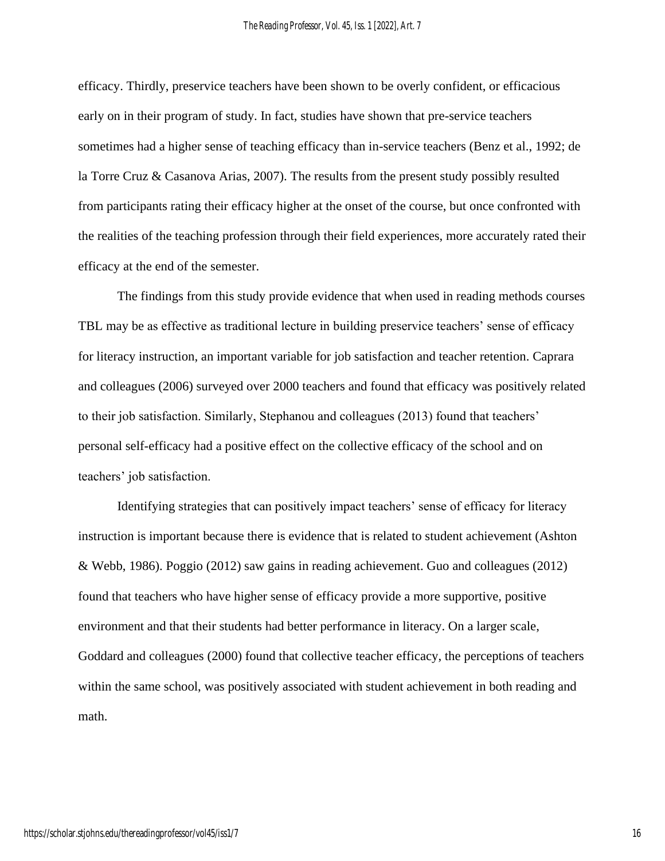efficacy. Thirdly, preservice teachers have been shown to be overly confident, or efficacious early on in their program of study. In fact, studies have shown that pre-service teachers sometimes had a higher sense of teaching efficacy than in-service teachers (Benz et al., 1992; de la Torre Cruz & Casanova Arias, 2007). The results from the present study possibly resulted from participants rating their efficacy higher at the onset of the course, but once confronted with the realities of the teaching profession through their field experiences, more accurately rated their efficacy at the end of the semester.

The findings from this study provide evidence that when used in reading methods courses TBL may be as effective as traditional lecture in building preservice teachers' sense of efficacy for literacy instruction, an important variable for job satisfaction and teacher retention. Caprara and colleagues (2006) surveyed over 2000 teachers and found that efficacy was positively related to their job satisfaction. Similarly, Stephanou and colleagues (2013) found that teachers' personal self-efficacy had a positive effect on the collective efficacy of the school and on teachers' job satisfaction.

Identifying strategies that can positively impact teachers' sense of efficacy for literacy instruction is important because there is evidence that is related to student achievement (Ashton & Webb, 1986). Poggio (2012) saw gains in reading achievement. Guo and colleagues (2012) found that teachers who have higher sense of efficacy provide a more supportive, positive environment and that their students had better performance in literacy. On a larger scale, Goddard and colleagues (2000) found that collective teacher efficacy, the perceptions of teachers within the same school, was positively associated with student achievement in both reading and math.

16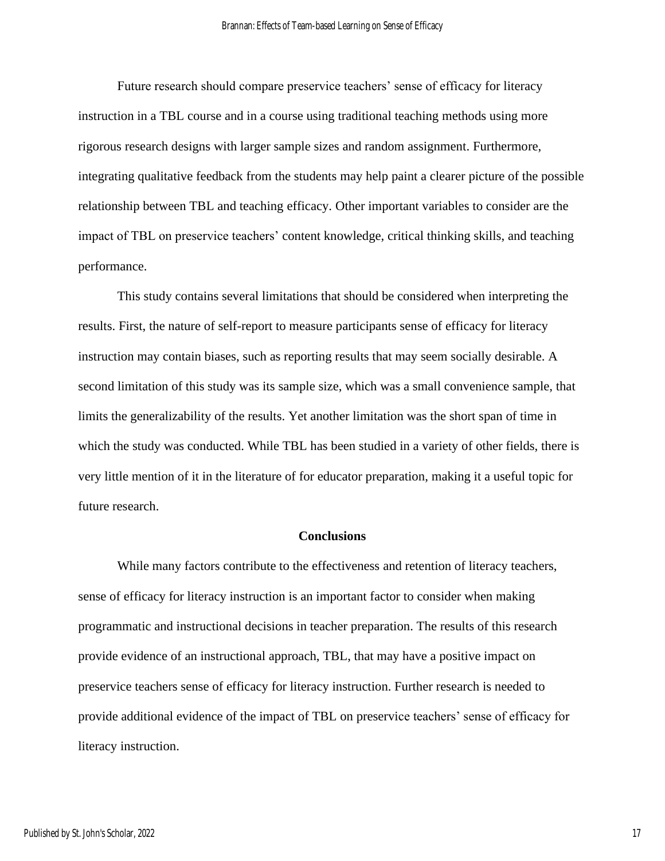Future research should compare preservice teachers' sense of efficacy for literacy instruction in a TBL course and in a course using traditional teaching methods using more rigorous research designs with larger sample sizes and random assignment. Furthermore, integrating qualitative feedback from the students may help paint a clearer picture of the possible relationship between TBL and teaching efficacy. Other important variables to consider are the impact of TBL on preservice teachers' content knowledge, critical thinking skills, and teaching performance.

This study contains several limitations that should be considered when interpreting the results. First, the nature of self-report to measure participants sense of efficacy for literacy instruction may contain biases, such as reporting results that may seem socially desirable. A second limitation of this study was its sample size, which was a small convenience sample, that limits the generalizability of the results. Yet another limitation was the short span of time in which the study was conducted. While TBL has been studied in a variety of other fields, there is very little mention of it in the literature of for educator preparation, making it a useful topic for future research.

#### **Conclusions**

While many factors contribute to the effectiveness and retention of literacy teachers, sense of efficacy for literacy instruction is an important factor to consider when making programmatic and instructional decisions in teacher preparation. The results of this research provide evidence of an instructional approach, TBL, that may have a positive impact on preservice teachers sense of efficacy for literacy instruction. Further research is needed to provide additional evidence of the impact of TBL on preservice teachers' sense of efficacy for literacy instruction.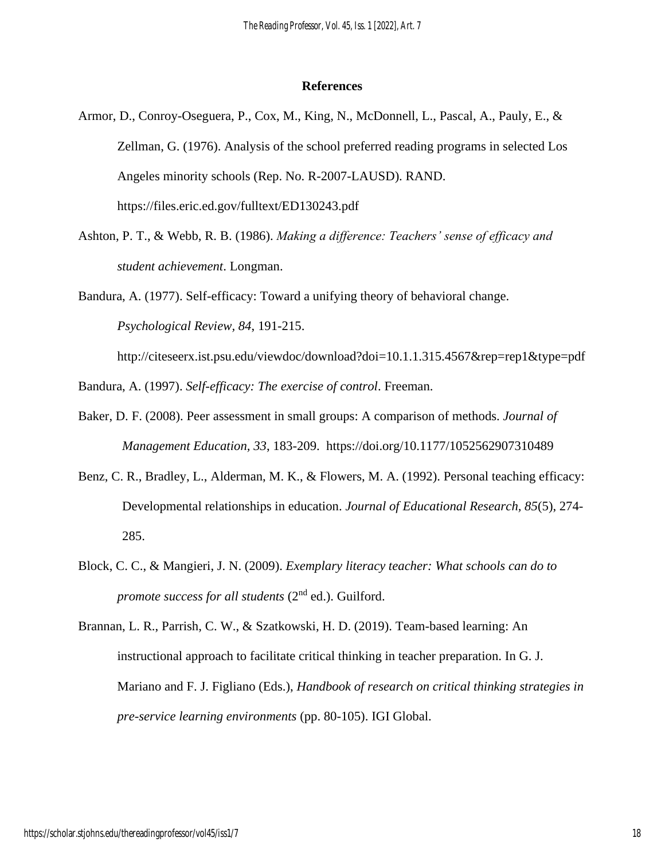#### **References**

- Armor, D., Conroy-Oseguera, P., Cox, M., King, N., McDonnell, L., Pascal, A., Pauly, E., & Zellman, G. (1976). Analysis of the school preferred reading programs in selected Los Angeles minority schools (Rep. No. R-2007-LAUSD). RAND. https://files.eric.ed.gov/fulltext/ED130243.pdf
- Ashton, P. T., & Webb, R. B. (1986). *Making a difference: Teachers' sense of efficacy and student achievement*. Longman.
- Bandura, A. (1977). Self-efficacy: Toward a unifying theory of behavioral change. *Psychological Review, 84*, 191-215.

http://citeseerx.ist.psu.edu/viewdoc/download?doi=10.1.1.315.4567&rep=rep1&type=pdf

Bandura, A. (1997). *Self-efficacy: The exercise of control*. Freeman.

- Baker, D. F. (2008). Peer assessment in small groups: A comparison of methods. *Journal of Management Education, 33*, 183-209. https://doi.org/10.1177/1052562907310489
- Benz, C. R., Bradley, L., Alderman, M. K., & Flowers, M. A. (1992). Personal teaching efficacy: Developmental relationships in education. *Journal of Educational Research, 85*(5), 274- 285.
- Block, C. C., & Mangieri, J. N. (2009). *Exemplary literacy teacher: What schools can do to promote success for all students* (2nd ed.). Guilford.

Brannan, L. R., Parrish, C. W., & Szatkowski, H. D. (2019). Team-based learning: An instructional approach to facilitate critical thinking in teacher preparation. In G. J. Mariano and F. J. Figliano (Eds.), *Handbook of research on critical thinking strategies in pre-service learning environments* (pp. 80-105). IGI Global.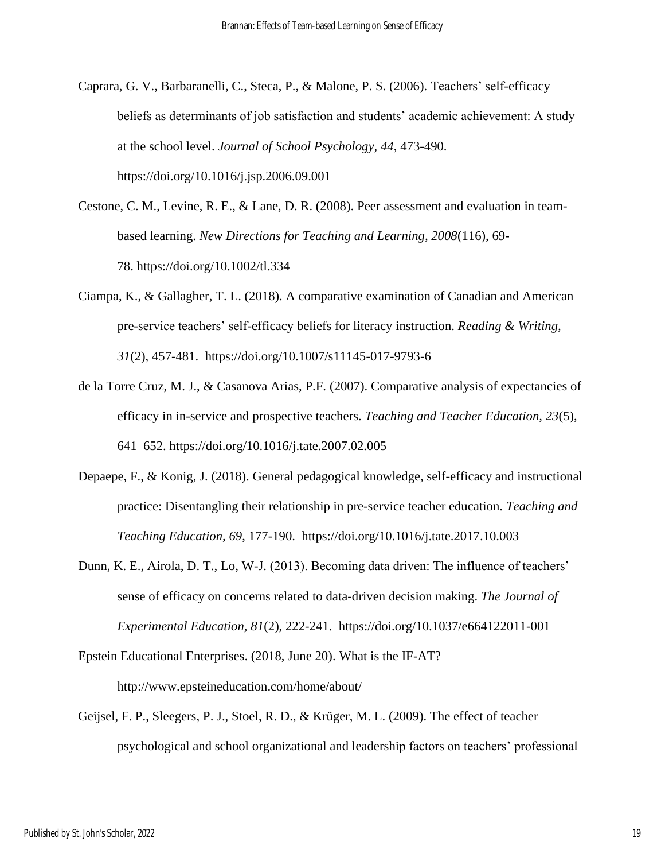- Caprara, G. V., Barbaranelli, C., Steca, P., & Malone, P. S. (2006). Teachers' self-efficacy beliefs as determinants of job satisfaction and students' academic achievement: A study at the school level. *Journal of School Psychology, 44*, 473-490. https://doi.org/10.1016/j.jsp.2006.09.001
- Cestone, C. M., Levine, R. E., & Lane, D. R. (2008). Peer assessment and evaluation in teambased learning. *New Directions for Teaching and Learning, 2008*(116), 69- 78. https://doi.org/10.1002/tl.334
- Ciampa, K., & Gallagher, T. L. (2018). A comparative examination of Canadian and American pre-service teachers' self-efficacy beliefs for literacy instruction. *Reading & Writing, 31*(2), 457-481. https://doi.org/10.1007/s11145-017-9793-6
- de la Torre Cruz, M. J., & Casanova Arias, P.F. (2007). Comparative analysis of expectancies of efficacy in in-service and prospective teachers. *Teaching and Teacher Education, 23*(5), 641–652. https://doi.org/10.1016/j.tate.2007.02.005
- Depaepe, F., & Konig, J. (2018). General pedagogical knowledge, self-efficacy and instructional practice: Disentangling their relationship in pre-service teacher education. *Teaching and Teaching Education, 69*, 177-190. https://doi.org/10.1016/j.tate.2017.10.003
- Dunn, K. E., Airola, D. T., Lo, W-J. (2013). Becoming data driven: The influence of teachers' sense of efficacy on concerns related to data-driven decision making. *The Journal of Experimental Education, 81*(2), 222-241. https://doi.org/10.1037/e664122011-001

Epstein Educational Enterprises. (2018, June 20). What is the IF-AT? http://www.epsteineducation.com/home/about/

Geijsel, F. P., Sleegers, P. J., Stoel, R. D., & Krüger, M. L. (2009). The effect of teacher psychological and school organizational and leadership factors on teachers' professional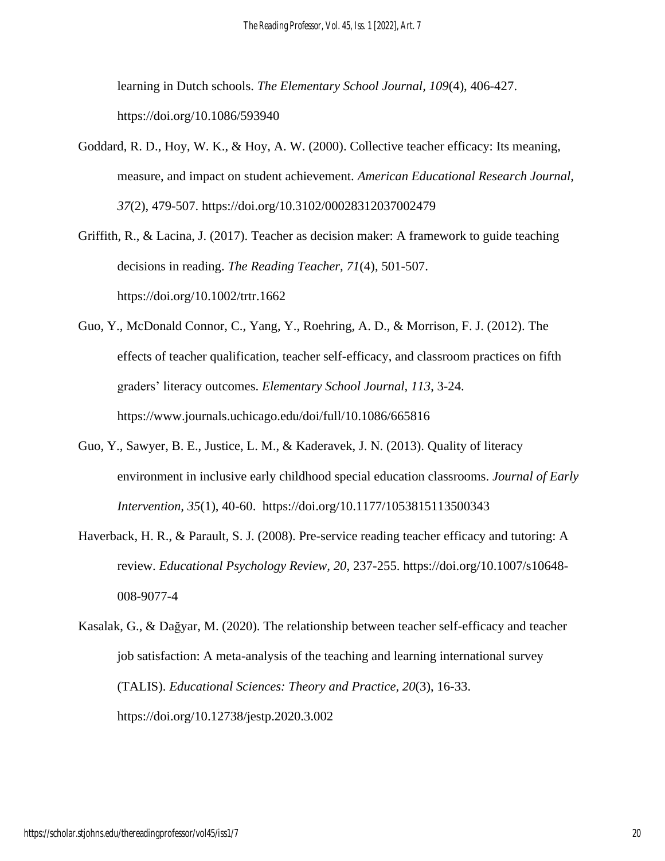learning in Dutch schools. *The Elementary School Journal, 109*(4), 406-427. https://doi.org/10.1086/593940

Goddard, R. D., Hoy, W. K., & Hoy, A. W. (2000). Collective teacher efficacy: Its meaning, measure, and impact on student achievement. *American Educational Research Journal, 37*(2), 479-507. https://doi.org/10.3102/00028312037002479

Griffith, R., & Lacina, J. (2017). Teacher as decision maker: A framework to guide teaching decisions in reading. *The Reading Teacher, 71*(4), 501-507. https://doi.org/10.1002/trtr.1662

- Guo, Y., McDonald Connor, C., Yang, Y., Roehring, A. D., & Morrison, F. J. (2012). The effects of teacher qualification, teacher self-efficacy, and classroom practices on fifth graders' literacy outcomes. *Elementary School Journal, 113*, 3-24. https://www.journals.uchicago.edu/doi/full/10.1086/665816
- Guo, Y., Sawyer, B. E., Justice, L. M., & Kaderavek, J. N. (2013). Quality of literacy environment in inclusive early childhood special education classrooms. *Journal of Early Intervention, 35*(1), 40-60. https://doi.org/10.1177/1053815113500343
- Haverback, H. R., & Parault, S. J. (2008). Pre-service reading teacher efficacy and tutoring: A review. *Educational Psychology Review, 20*, 237-255. https://doi.org/10.1007/s10648- 008-9077-4
- Kasalak, G., & Dağyar, M. (2020). The relationship between teacher self-efficacy and teacher job satisfaction: A meta-analysis of the teaching and learning international survey (TALIS). *Educational Sciences: Theory and Practice, 20*(3), 16-33. https://doi.org/10.12738/jestp.2020.3.002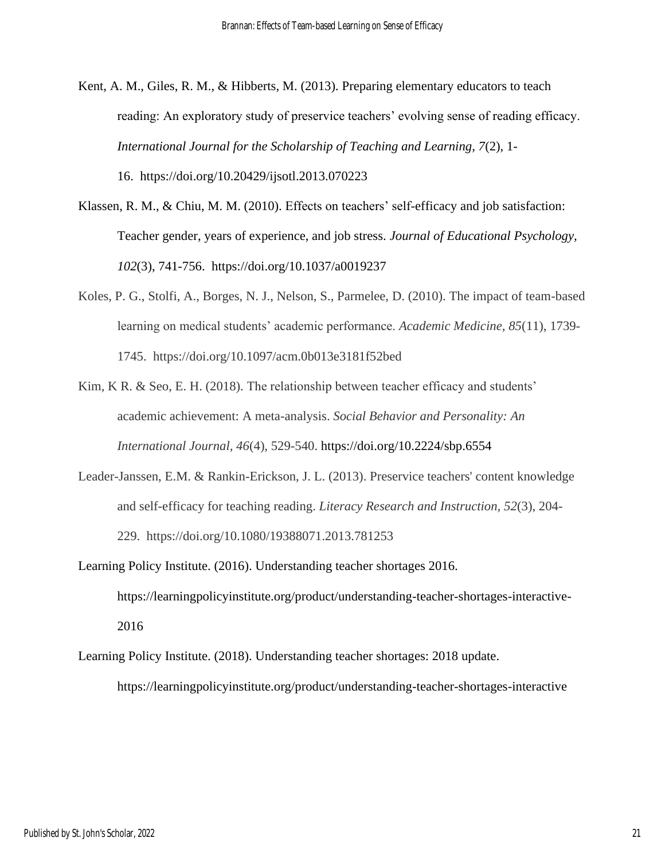Kent, A. M., Giles, R. M., & Hibberts, M. (2013). Preparing elementary educators to teach reading: An exploratory study of preservice teachers' evolving sense of reading efficacy. *International Journal for the Scholarship of Teaching and Learning, 7*(2), 1- 16. https://doi.org/10.20429/ijsotl.2013.070223

- Klassen, R. M., & Chiu, M. M. (2010). Effects on teachers' self-efficacy and job satisfaction: Teacher gender, years of experience, and job stress. *Journal of Educational Psychology, 102*(3), 741-756. https://doi.org/10.1037/a0019237
- Koles, P. G., Stolfi, A., Borges, N. J., Nelson, S., Parmelee, D. (2010). The impact of team-based learning on medical students' academic performance. *Academic Medicine, 85*(11), 1739- 1745. https://doi.org/10.1097/acm.0b013e3181f52bed
- Kim, K R. & Seo, E. H. (2018). The relationship between teacher efficacy and students' academic achievement: A meta-analysis. *Social Behavior and Personality: An International Journal, 46*(4), 529-540. https://doi.org/10.2224/sbp.6554
- Leader-Janssen, E.M. & Rankin-Erickson, J. L. (2013). Preservice teachers' content knowledge and self-efficacy for teaching reading. *Literacy Research and Instruction, 52*(3), 204- 229. https://doi.org/10.1080/19388071.2013.781253
- Learning Policy Institute. (2016). Understanding teacher shortages 2016. https://learningpolicyinstitute.org/product/understanding-teacher-shortages-interactive-2016
- Learning Policy Institute. (2018). Understanding teacher shortages: 2018 update. https://learningpolicyinstitute.org/product/understanding-teacher-shortages-interactive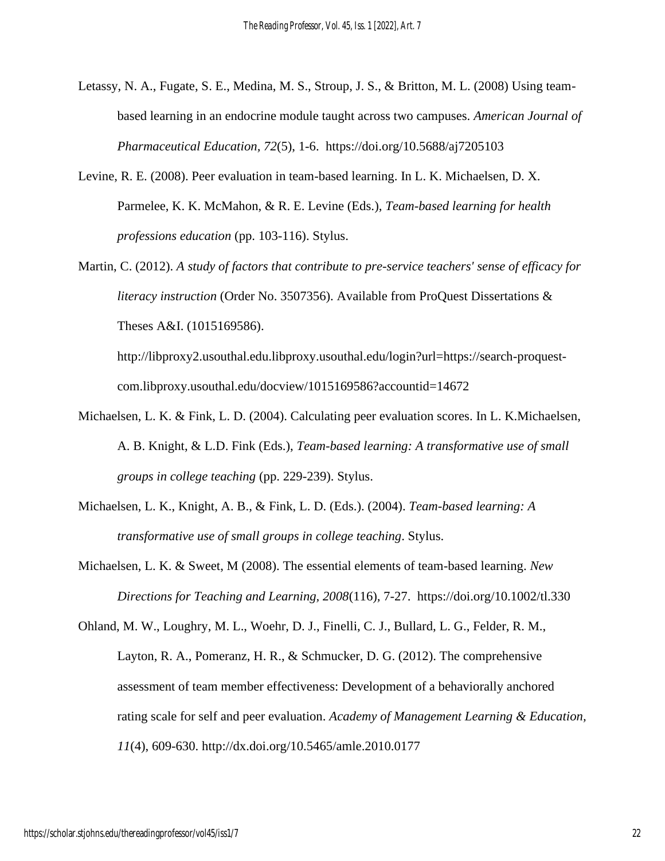- Letassy, N. A., Fugate, S. E., Medina, M. S., Stroup, J. S., & Britton, M. L. (2008) Using teambased learning in an endocrine module taught across two campuses. *American Journal of Pharmaceutical Education, 72*(5), 1-6. https://doi.org/10.5688/aj7205103
- Levine, R. E. (2008). Peer evaluation in team-based learning. In L. K. Michaelsen, D. X. Parmelee, K. K. McMahon, & R. E. Levine (Eds.), *Team-based learning for health professions education* (pp. 103-116). Stylus.
- Martin, C. (2012). *A study of factors that contribute to pre-service teachers' sense of efficacy for literacy instruction* (Order No. 3507356). Available from ProQuest Dissertations & Theses A&I. (1015169586).

http://libproxy2.usouthal.edu.libproxy.usouthal.edu/login?url=https://search-proquestcom.libproxy.usouthal.edu/docview/1015169586?accountid=14672

- Michaelsen, L. K. & Fink, L. D. (2004). Calculating peer evaluation scores. In L. K.Michaelsen, A. B. Knight, & L.D. Fink (Eds.), *Team-based learning: A transformative use of small groups in college teaching* (pp. 229-239). Stylus.
- Michaelsen, L. K., Knight, A. B., & Fink, L. D. (Eds.). (2004). *Team-based learning: A transformative use of small groups in college teaching*. Stylus.
- Michaelsen, L. K. & Sweet, M (2008). The essential elements of team-based learning. *New Directions for Teaching and Learning, 2008*(116)*,* 7-27. https://doi.org/10.1002/tl.330

Ohland, M. W., Loughry, M. L., Woehr, D. J., Finelli, C. J., Bullard, L. G., Felder, R. M., Layton, R. A., Pomeranz, H. R., & Schmucker, D. G. (2012). The comprehensive assessment of team member effectiveness: Development of a behaviorally anchored rating scale for self and peer evaluation. *Academy of Management Learning & Education, 11*(4), 609-630. http://dx.doi.org/10.5465/amle.2010.0177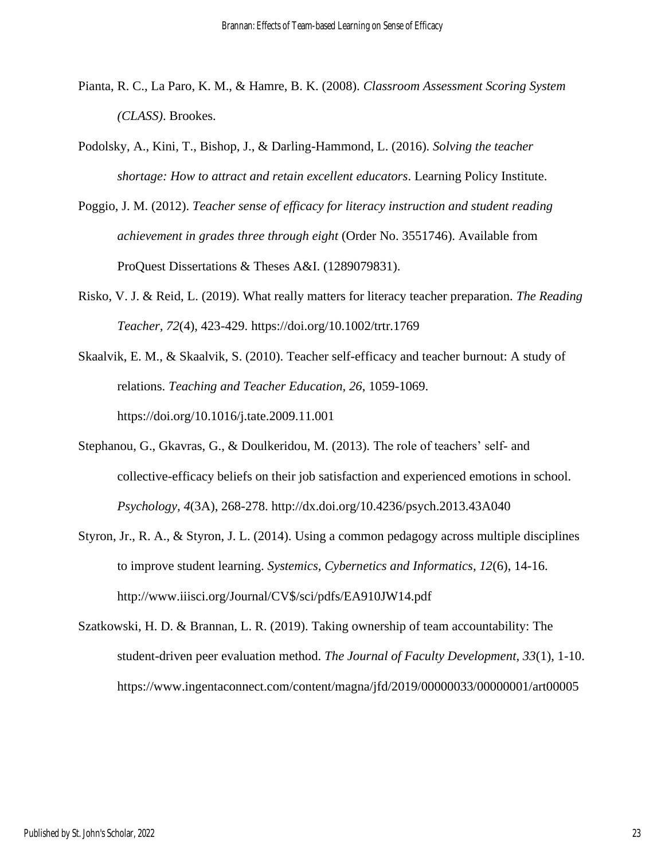- Pianta, R. C., La Paro, K. M., & Hamre, B. K. (2008). *Classroom Assessment Scoring System (CLASS)*. Brookes.
- Podolsky, A., Kini, T., Bishop, J., & Darling-Hammond, L. (2016). *Solving the teacher shortage: How to attract and retain excellent educators*. Learning Policy Institute.
- Poggio, J. M. (2012). *Teacher sense of efficacy for literacy instruction and student reading achievement in grades three through eight* (Order No. 3551746). Available from ProQuest Dissertations & Theses A&I. (1289079831).
- Risko, V. J. & Reid, L. (2019). What really matters for literacy teacher preparation. *The Reading Teacher, 72*(4), 423-429. https://doi.org/10.1002/trtr.1769
- Skaalvik, E. M., & Skaalvik, S. (2010). Teacher self-efficacy and teacher burnout: A study of relations. *Teaching and Teacher Education, 26*, 1059-1069. https://doi.org/10.1016/j.tate.2009.11.001
- Stephanou, G., Gkavras, G., & Doulkeridou, M. (2013). The role of teachers' self- and collective-efficacy beliefs on their job satisfaction and experienced emotions in school. *Psychology, 4*(3A), 268-278. http://dx.doi.org/10.4236/psych.2013.43A040
- Styron, Jr., R. A., & Styron, J. L. (2014). Using a common pedagogy across multiple disciplines to improve student learning. *Systemics, Cybernetics and Informatics, 12*(6), 14-16. http://www.iiisci.org/Journal/CV\$/sci/pdfs/EA910JW14.pdf
- Szatkowski, H. D. & Brannan, L. R. (2019). Taking ownership of team accountability: The student-driven peer evaluation method. *The Journal of Faculty Development, 33*(1), 1-10. https://www.ingentaconnect.com/content/magna/jfd/2019/00000033/00000001/art00005